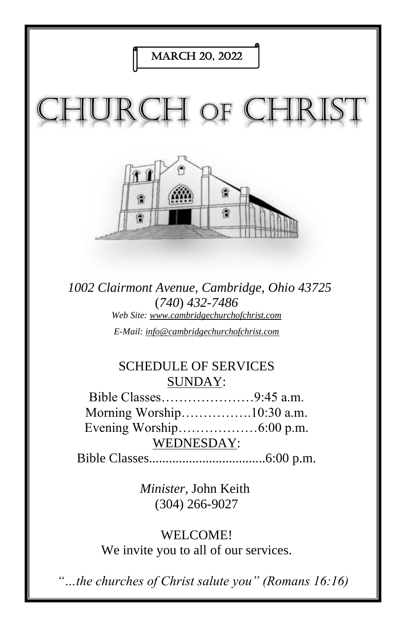

*1002 Clairmont Avenue, Cambridge, Ohio 43725* (*740*) *432-7486 Web Site: www.cambridgechurchofchrist.com E-Mail: info@cambridgechurchofchrist.com*

# SCHEDULE OF SERVICES SUNDAY:

Bible Classes…………………9:45 a.m. Morning Worship…………….10:30 a.m. Evening Worship………………6:00 p.m. WEDNESDAY:

Bible Classes...................................6:00 p.m.

*Minister,* John Keith (304) 266-9027

WELCOME! We invite you to all of our services.

*"…the churches of Christ salute you" (Romans 16:16)*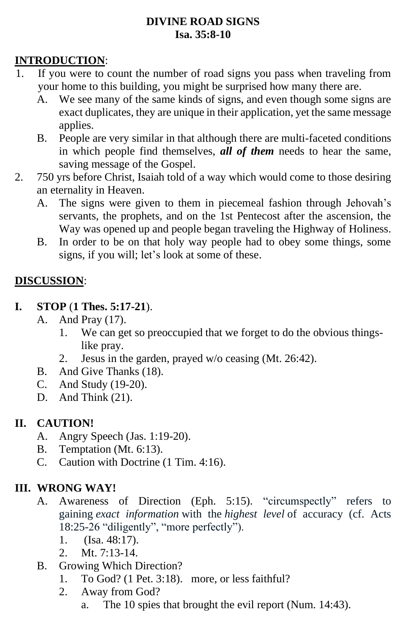#### **DIVINE ROAD SIGNS Isa. 35:8-10**

### **INTRODUCTION**:

- 1. If you were to count the number of road signs you pass when traveling from your home to this building, you might be surprised how many there are.
	- A. We see many of the same kinds of signs, and even though some signs are exact duplicates, they are unique in their application, yet the same message applies.
	- B. People are very similar in that although there are multi-faceted conditions in which people find themselves, *all of them* needs to hear the same, saving message of the Gospel.
- 2. 750 yrs before Christ, Isaiah told of a way which would come to those desiring an eternality in Heaven.
	- A. The signs were given to them in piecemeal fashion through Jehovah's servants, the prophets, and on the 1st Pentecost after the ascension, the Way was opened up and people began traveling the Highway of Holiness.
	- B. In order to be on that holy way people had to obey some things, some signs, if you will; let's look at some of these.

### **DISCUSSION**:

- **I. STOP** (**1 Thes. 5:17-21**).
	- A. And Pray (17).
		- 1. We can get so preoccupied that we forget to do the obvious thingslike pray.
		- 2. Jesus in the garden, prayed w/o ceasing (Mt. 26:42).
	- B. And Give Thanks (18).
	- C. And Study (19-20).
	- D. And Think (21).

### **II. CAUTION!**

- A. Angry Speech (Jas. 1:19-20).
- B. Temptation (Mt. 6:13).
- C. Caution with Doctrine (1 Tim. 4:16).

### **III. WRONG WAY!**

- A. Awareness of Direction (Eph. 5:15). "circumspectly" refers to gaining *exact information* with the *highest level* of accuracy (cf. Acts 18:25-26 "diligently", "more perfectly").
	- 1. (Isa. 48:17).
	- 2. Mt. 7:13-14.
- B. Growing Which Direction?
	- 1. To God? (1 Pet. 3:18). more, or less faithful?
	- 2. Away from God?
		- a. The 10 spies that brought the evil report (Num. 14:43).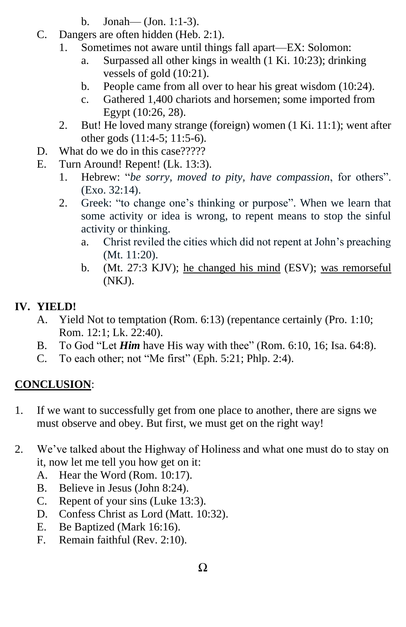- b. Jonah— (Jon. 1:1-3).
- C. Dangers are often hidden (Heb. 2:1).
	- 1. Sometimes not aware until things fall apart—EX: Solomon:
		- a. Surpassed all other kings in wealth (1 Ki. 10:23); drinking vessels of gold (10:21).
		- b. People came from all over to hear his great wisdom (10:24).
		- c. Gathered 1,400 chariots and horsemen; some imported from Egypt (10:26, 28).
	- 2. But! He loved many strange (foreign) women (1 Ki. 11:1); went after other gods (11:4-5; 11:5-6).
- D. What do we do in this case?????
- E. Turn Around! Repent! (Lk. 13:3).
	- 1. Hebrew: "*be sorry, moved to pity, have compassion*, for others". (Exo. 32:14).
	- 2. Greek: "to change one's thinking or purpose". When we learn that some activity or idea is wrong, to repent means to stop the sinful activity or thinking.
		- a. Christ reviled the cities which did not repent at John's preaching (Mt. 11:20).
		- b. (Mt. 27:3 KJV); he changed his mind (ESV); was remorseful (NKJ).

### **IV. YIELD!**

- A. Yield Not to temptation (Rom. 6:13) (repentance certainly (Pro. 1:10; Rom. 12:1; Lk. 22:40).
- B. To God "Let *Him* have His way with thee" (Rom. 6:10, 16; Isa. 64:8).
- C. To each other; not "Me first" (Eph. 5:21; Phlp. 2:4).

# **CONCLUSION**:

- 1. If we want to successfully get from one place to another, there are signs we must observe and obey. But first, we must get on the right way!
- 2. We've talked about the Highway of Holiness and what one must do to stay on it, now let me tell you how get on it:
	- A. Hear the Word (Rom. 10:17).
	- B. Believe in Jesus (John 8:24).
	- C. Repent of your sins (Luke 13:3).
	- D. Confess Christ as Lord (Matt. 10:32).
	- E. Be Baptized (Mark 16:16).
	- F. Remain faithful (Rev. 2:10).